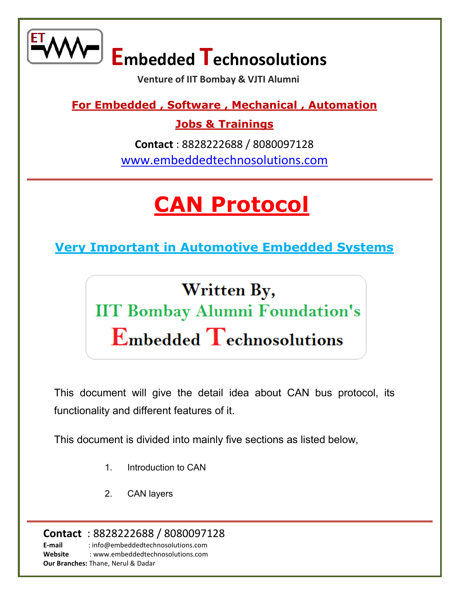

 **Venture of IIT Bombay & VJTI Alumni** 

**For Embedded , Software , Mechanical , Automation** 

**Jobs & Trainings** 

**Contact** : 8828222688 / 8080097128 [www.embeddedtechnosolutions.com](http://www.embeddedtechnosolutions.com/) 

## **[CAN Protocol](http://www.embeddedtechnosolutions.com/)**

**[Very Important in Automotive Embedded Systems](http://www.embeddedtechnosolutions.com/)** 

Written By, **IIT Bombay Alumni Foundation's Embedded Technosolutions** 

This document will give the detail idea about CAN bus protocol, its functionality and different features of it.

This document is divided into mainly five sections as listed below,

- 1. Introduction to CAN
- 2. CAN layers

**Contact** : 8828222688 / 8080097128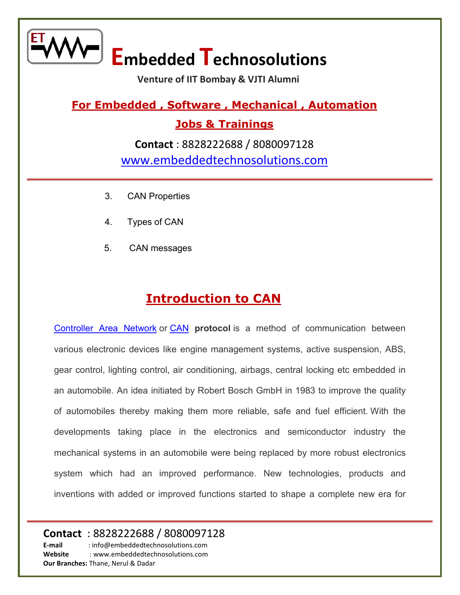

 **Venture of IIT Bombay & VJTI Alumni** 

**For Embedded , Software , Mechanical , Automation** 

**Jobs & Trainings** 

**Contact** : 8828222688 / 8080097128 [www.embeddedtechnosolutions.com](http://www.embeddedtechnosolutions.com/) 

- 3. CAN Properties
- 4. Types of CAN
- 5. CAN messages

#### **[Introduction to CAN](http://www.embeddedtechnosolutions.com/)**

[Controller Area Network](http://www.embeddedtechnosolutions.com/) or [CAN](http://www.embeddedtechnosolutions.com/) **protocol** is a method of communication between various electronic devices like engine management systems, active suspension, ABS, gear control, lighting control, air conditioning, airbags, central locking etc embedded in an automobile. An idea initiated by Robert Bosch GmbH in 1983 to improve the quality of automobiles thereby making them more reliable, safe and fuel efficient. With the developments taking place in the electronics and semiconductor industry the mechanical systems in an automobile were being replaced by more robust electronics system which had an improved performance. New technologies, products and inventions with added or improved functions started to shape a complete new era for

#### **Contact** : 8828222688 / 8080097128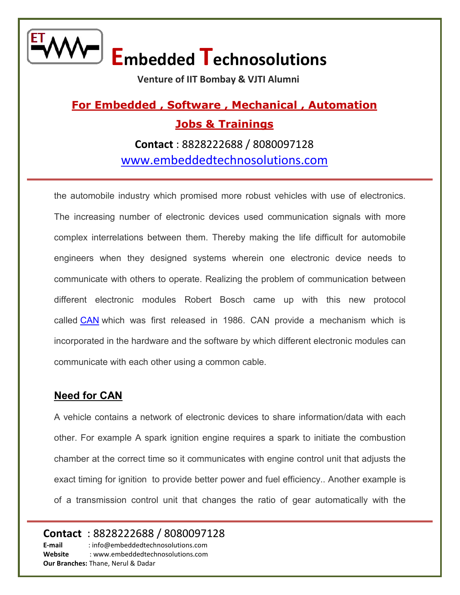

 **Venture of IIT Bombay & VJTI Alumni** 

### **For Embedded , Software , Mechanical , Automation Jobs & Trainings**

**Contact** : 8828222688 / 8080097128 [www.embeddedtechnosolutions.com](http://www.embeddedtechnosolutions.com/) 

the automobile industry which promised more robust vehicles with use of electronics. The increasing number of electronic devices used communication signals with more complex interrelations between them. Thereby making the life difficult for automobile engineers when they designed systems wherein one electronic device needs to communicate with others to operate. Realizing the problem of communication between different electronic modules Robert Bosch came up with this new protocol called [CAN](http://www.embeddedtechnosolutions.com/) which was first released in 1986. CAN provide a mechanism which is incorporated in the hardware and the software by which different electronic modules can communicate with each other using a common cable.

#### **[Need for CAN](http://www.embeddedtechnosolutions.com/)**

A vehicle contains a network of electronic devices to share information/data with each other. For example A spark ignition engine requires a spark to initiate the combustion chamber at the correct time so it communicates with engine control unit that adjusts the exact timing for ignition to provide better power and fuel efficiency.. Another example is of a transmission control unit that changes the ratio of gear automatically with the

#### **Contact** : 8828222688 / 8080097128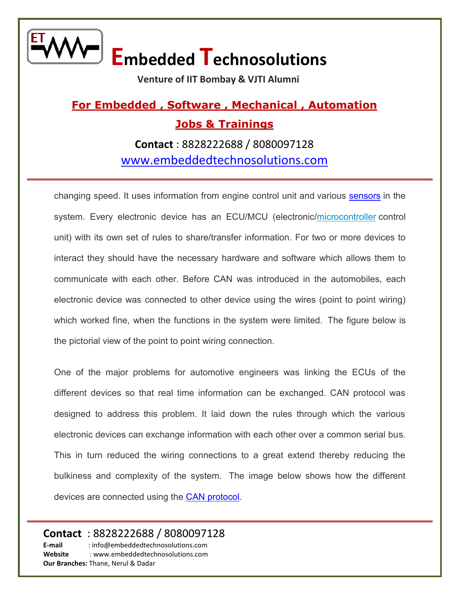

 **Venture of IIT Bombay & VJTI Alumni** 

### **For Embedded , Software , Mechanical , Automation Jobs & Trainings**

**Contact** : 8828222688 / 8080097128 [www.embeddedtechnosolutions.com](http://www.embeddedtechnosolutions.com/) 

changing speed. It uses information from engine control unit and various [sensors](http://www.embeddedtechnosolutions.com/) in the system. Every electronic device has an ECU/MCU (electronic[/microcontroller](http://www.embeddedtechnosolutions.com/) control unit) with its own set of rules to share/transfer information. For two or more devices to interact they should have the necessary hardware and software which allows them to communicate with each other. Before CAN was introduced in the automobiles, each electronic device was connected to other device using the wires (point to point wiring) which worked fine, when the functions in the system were limited. The figure below is the pictorial view of the point to point wiring connection.

One of the major problems for automotive engineers was linking the ECUs of the different devices so that real time information can be exchanged. CAN protocol was designed to address this problem. It laid down the rules through which the various electronic devices can exchange information with each other over a common serial bus. This in turn reduced the wiring connections to a great extend thereby reducing the bulkiness and complexity of the system. The image below shows how the different devices are connected using the [CAN protocol.](http://www.embeddedtechnosolutions.com/)

#### **Contact** : 8828222688 / 8080097128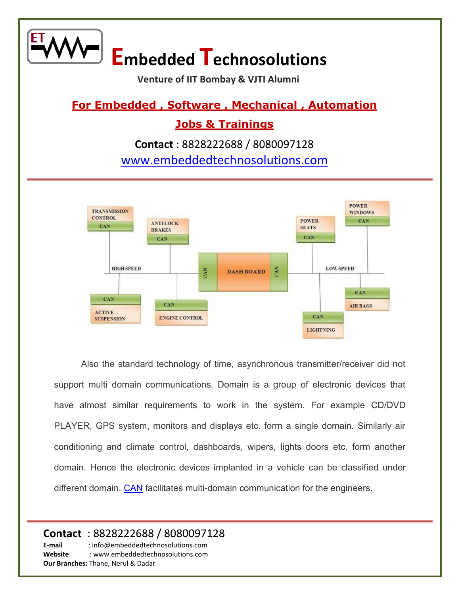**Venture of IIT Bombay & VJTI Alumni** 

#### **For Embedded , Software , Mechanical , Automation**

#### **Jobs & Trainings**

**Contact** : 8828222688 / 8080097128 [www.embeddedtechnosolutions.com](http://www.embeddedtechnosolutions.com/) 



Also the standard technology of time, asynchronous transmitter/receiver did not support multi domain communications. Domain is a group of electronic devices that have almost similar requirements to work in the system. For example CD/DVD PLAYER, GPS system, monitors and displays etc. form a single domain. Similarly air conditioning and climate control, dashboards, wipers, lights doors etc. form another domain. Hence the electronic devices implanted in a vehicle can be classified under different domain. [CAN](http://www.embeddedtechnosolutions.com/) facilitates multi-domain communication for the engineers.

#### **Contact** : 8828222688 / 8080097128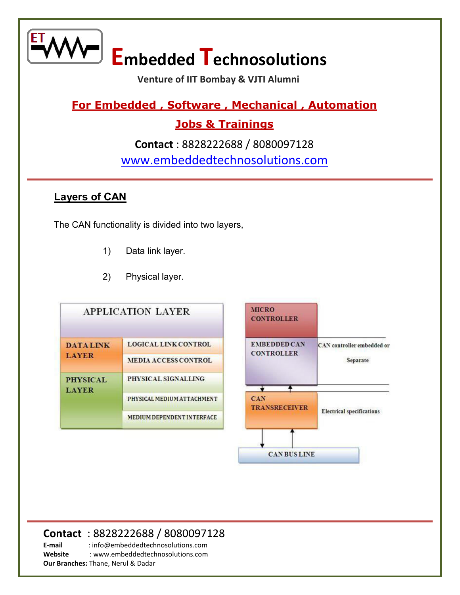

 **Venture of IIT Bombay & VJTI Alumni** 

#### **For Embedded , Software , Mechanical , Automation**

#### **Jobs & Trainings**

**Contact** : 8828222688 / 8080097128 [www.embeddedtechnosolutions.com](http://www.embeddedtechnosolutions.com/) 

#### **[Layers of CAN](http://www.embeddedtechnosolutions.com/)**

The CAN functionality is divided into two layers,

- 1) Data link layer.
- 2) Physical layer.



#### **Contact** : 8828222688 / 8080097128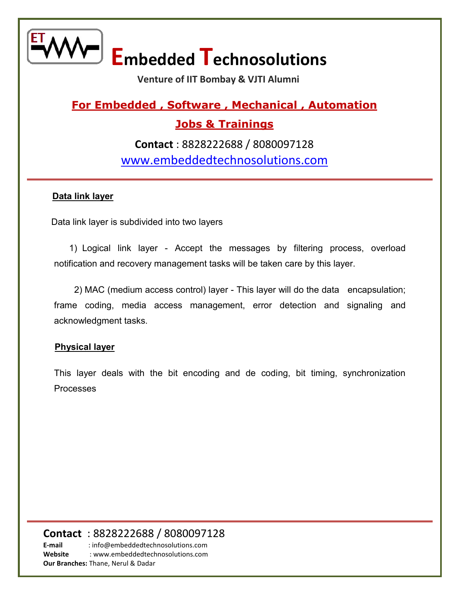

 **Venture of IIT Bombay & VJTI Alumni** 

### **For Embedded , Software , Mechanical , Automation**

#### **Jobs & Trainings**

**Contact** : 8828222688 / 8080097128 [www.embeddedtechnosolutions.com](http://www.embeddedtechnosolutions.com/) 

#### **Data link layer**

Data link layer is subdivided into two layers

 1) Logical link layer - Accept the messages by filtering process, overload notification and recovery management tasks will be taken care by this layer.

 2) MAC (medium access control) layer - This layer will do the data encapsulation; frame coding, media access management, error detection and signaling and acknowledgment tasks.

#### **Physical layer**

This layer deals with the bit encoding and de coding, bit timing, synchronization Processes

#### **Contact** : 8828222688 / 8080097128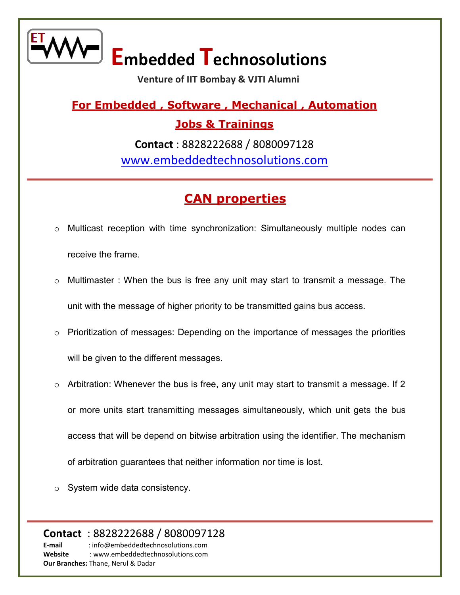

 **Venture of IIT Bombay & VJTI Alumni** 

**For Embedded , Software , Mechanical , Automation** 

**Jobs & Trainings** 

**Contact** : 8828222688 / 8080097128 [www.embeddedtechnosolutions.com](http://www.embeddedtechnosolutions.com/) 

#### **[CAN properties](http://www.embeddedtechnosolutions.com/)**

- o Multicast reception with time synchronization: Simultaneously multiple nodes can receive the frame.
- o Multimaster : When the bus is free any unit may start to transmit a message. The unit with the message of higher priority to be transmitted gains bus access.
- o Prioritization of messages: Depending on the importance of messages the priorities will be given to the different messages.
- $\circ$  Arbitration: Whenever the bus is free, any unit may start to transmit a message. If 2 or more units start transmitting messages simultaneously, which unit gets the bus access that will be depend on bitwise arbitration using the identifier. The mechanism of arbitration guarantees that neither information nor time is lost.
- o System wide data consistency.

**Contact** : 8828222688 / 8080097128 **E-mail** : info@embeddedtechnosolutions.com **Website** : www.embeddedtechnosolutions.com **Our Branches:** Thane, Nerul & Dadar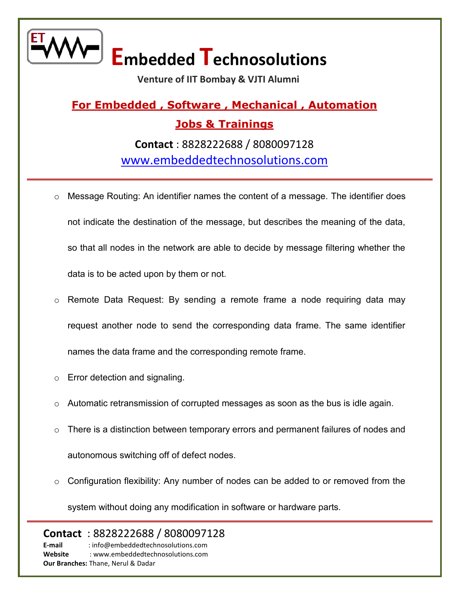

 **Venture of IIT Bombay & VJTI Alumni** 

## **For Embedded , Software , Mechanical , Automation Jobs & Trainings**

**Contact** : 8828222688 / 8080097128 [www.embeddedtechnosolutions.com](http://www.embeddedtechnosolutions.com/) 

- o Message Routing: An identifier names the content of a message. The identifier does not indicate the destination of the message, but describes the meaning of the data, so that all nodes in the network are able to decide by message filtering whether the data is to be acted upon by them or not.
- o Remote Data Request: By sending a remote frame a node requiring data may request another node to send the corresponding data frame. The same identifier names the data frame and the corresponding remote frame.
- o Error detection and signaling.
- o Automatic retransmission of corrupted messages as soon as the bus is idle again.
- $\circ$  There is a distinction between temporary errors and permanent failures of nodes and autonomous switching off of defect nodes.
- o Configuration flexibility: Any number of nodes can be added to or removed from the

system without doing any modification in software or hardware parts.

**Contact** : 8828222688 / 8080097128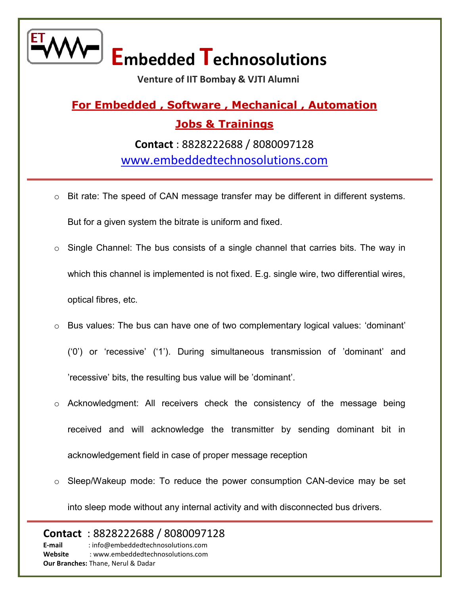

 **Venture of IIT Bombay & VJTI Alumni** 

### **For Embedded , Software , Mechanical , Automation Jobs & Trainings Contact** : 8828222688 / 8080097128

[www.embeddedtechnosolutions.com](http://www.embeddedtechnosolutions.com/) 

- $\circ$  Bit rate: The speed of CAN message transfer may be different in different systems. But for a given system the bitrate is uniform and fixed.
- o Single Channel: The bus consists of a single channel that carries bits. The way in which this channel is implemented is not fixed. E.g. single wire, two differential wires, optical fibres, etc.
- o Bus values: The bus can have one of two complementary logical values: 'dominant'
	- ('0') or 'recessive' ('1'). During simultaneous transmission of 'dominant' and 'recessive' bits, the resulting bus value will be 'dominant'.
- o Acknowledgment: All receivers check the consistency of the message being received and will acknowledge the transmitter by sending dominant bit in acknowledgement field in case of proper message reception
- o Sleep/Wakeup mode: To reduce the power consumption CAN-device may be set into sleep mode without any internal activity and with disconnected bus drivers.

#### **Contact** : 8828222688 / 8080097128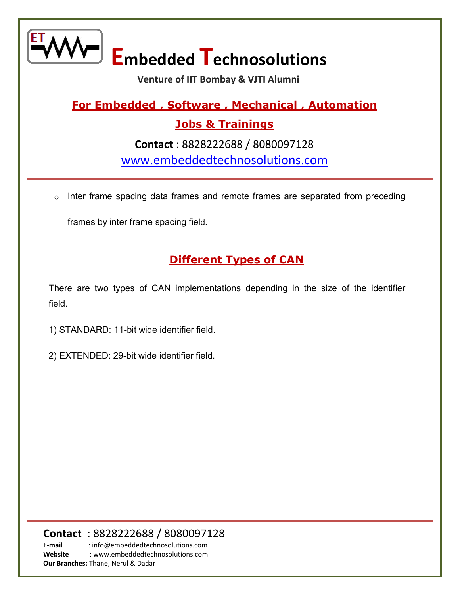

 **Venture of IIT Bombay & VJTI Alumni** 

#### **For Embedded , Software , Mechanical , Automation**

#### **Jobs & Trainings**

**Contact** : 8828222688 / 8080097128 [www.embeddedtechnosolutions.com](http://www.embeddedtechnosolutions.com/) 

o Inter frame spacing data frames and remote frames are separated from preceding

frames by inter frame spacing field.

#### **[Different Types of CAN](http://www.embeddedtechnosolutions.com/)**

There are two types of CAN implementations depending in the size of the identifier field.

1) STANDARD: 11-bit wide identifier field.

2) EXTENDED: 29-bit wide identifier field.

#### **Contact** : 8828222688 / 8080097128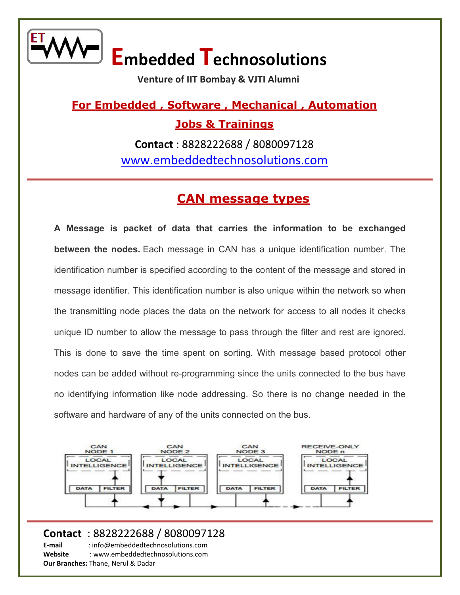

 **Venture of IIT Bombay & VJTI Alumni** 

**For Embedded , Software , Mechanical , Automation Jobs & Trainings** 

> **Contact** : 8828222688 / 8080097128 [www.embeddedtechnosolutions.com](http://www.embeddedtechnosolutions.com/)

#### **[CAN message types](http://www.embeddedtechnosolutions.com/)**

**A Message is packet of data that carries the information to be exchanged between the nodes.** Each message in CAN has a unique identification number. The identification number is specified according to the content of the message and stored in message identifier. This identification number is also unique within the network so when the transmitting node places the data on the network for access to all nodes it checks unique ID number to allow the message to pass through the filter and rest are ignored. This is done to save the time spent on sorting. With message based protocol other nodes can be added without re-programming since the units connected to the bus have no identifying information like node addressing. So there is no change needed in the software and hardware of any of the units connected on the bus.



#### **Contact** : 8828222688 / 8080097128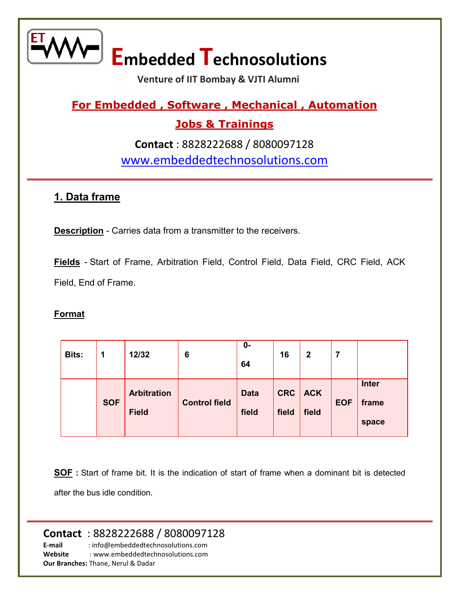

 **Venture of IIT Bombay & VJTI Alumni** 

#### **For Embedded , Software , Mechanical , Automation**

#### **Jobs & Trainings**

**Contact** : 8828222688 / 8080097128 [www.embeddedtechnosolutions.com](http://www.embeddedtechnosolutions.com/) 

#### **1. Data frame**

**Description** - Carries data from a transmitter to the receivers.

**Fields** - Start of Frame, Arbitration Field, Control Field, Data Field, CRC Field, ACK Field, End of Frame.

#### **Format**

| <b>Bits:</b> | 1          | 12/32                              | 6                    | $0 -$<br>64          | 16                  | 2                   | 7          |                                |
|--------------|------------|------------------------------------|----------------------|----------------------|---------------------|---------------------|------------|--------------------------------|
|              | <b>SOF</b> | <b>Arbitration</b><br><b>Field</b> | <b>Control field</b> | <b>Data</b><br>field | <b>CRC</b><br>field | <b>ACK</b><br>field | <b>EOF</b> | <b>Inter</b><br>frame<br>space |

**SOF :** Start of frame bit. It is the indication of start of frame when a dominant bit is detected after the bus idle condition.

#### **Contact** : 8828222688 / 8080097128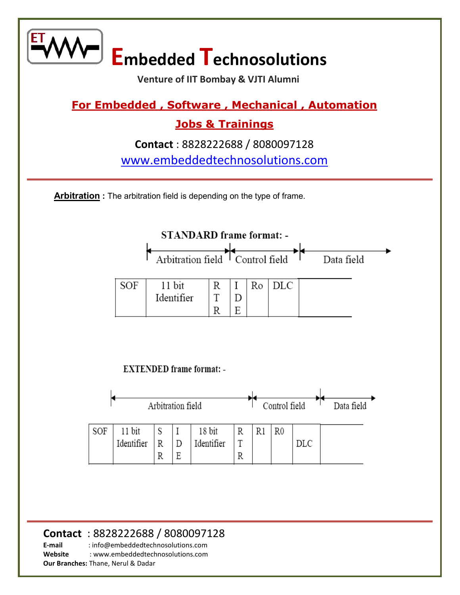

**Website** : www.embeddedtechnosolutions.com

**Our Branches:** Thane, Nerul & Dadar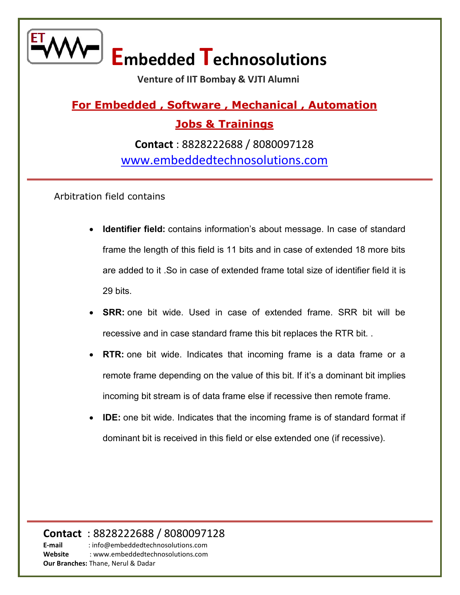

 **Venture of IIT Bombay & VJTI Alumni** 

**For Embedded , Software , Mechanical , Automation Jobs & Trainings** 

**Contact** : 8828222688 / 8080097128 [www.embeddedtechnosolutions.com](http://www.embeddedtechnosolutions.com/) 

Arbitration field contains

- **Identifier field:** contains information's about message. In case of standard frame the length of this field is 11 bits and in case of extended 18 more bits are added to it .So in case of extended frame total size of identifier field it is 29 bits.
- **SRR:** one bit wide. Used in case of extended frame. SRR bit will be recessive and in case standard frame this bit replaces the RTR bit. .
- **RTR:** one bit wide. Indicates that incoming frame is a data frame or a remote frame depending on the value of this bit. If it's a dominant bit implies incoming bit stream is of data frame else if recessive then remote frame.
- **IDE:** one bit wide. Indicates that the incoming frame is of standard format if dominant bit is received in this field or else extended one (if recessive).

**Contact** : 8828222688 / 8080097128 **E-mail** : info@embeddedtechnosolutions.com **Website** : www.embeddedtechnosolutions.com **Our Branches:** Thane, Nerul & Dadar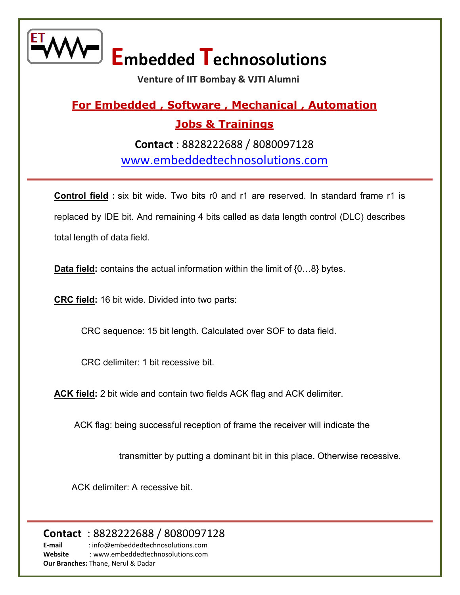

 **Venture of IIT Bombay & VJTI Alumni** 

#### **For Embedded , Software , Mechanical , Automation Jobs & Trainings**

**Contact** : 8828222688 / 8080097128 [www.embeddedtechnosolutions.com](http://www.embeddedtechnosolutions.com/) 

**Control field :** six bit wide. Two bits r0 and r1 are reserved. In standard frame r1 is replaced by IDE bit. And remaining 4 bits called as data length control (DLC) describes total length of data field.

**Data field:** contains the actual information within the limit of {0…8} bytes.

**CRC field:** 16 bit wide. Divided into two parts:

CRC sequence: 15 bit length. Calculated over SOF to data field.

CRC delimiter: 1 bit recessive bit.

**ACK field:** 2 bit wide and contain two fields ACK flag and ACK delimiter.

ACK flag: being successful reception of frame the receiver will indicate the

transmitter by putting a dominant bit in this place. Otherwise recessive.

ACK delimiter: A recessive bit.

**Contact** : 8828222688 / 8080097128 **E-mail** : info@embeddedtechnosolutions.com

**Website** : www.embeddedtechnosolutions.com **Our Branches:** Thane, Nerul & Dadar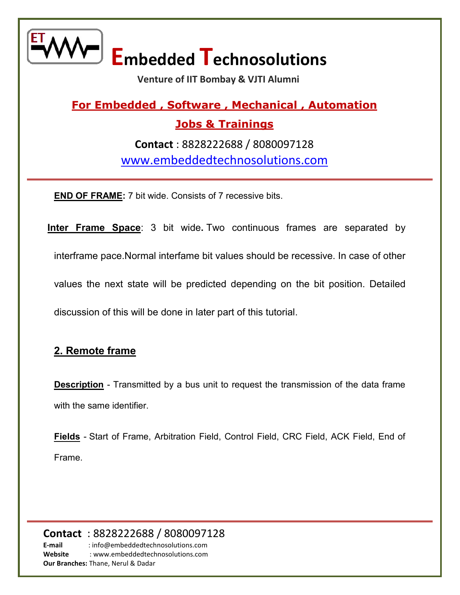

 **Venture of IIT Bombay & VJTI Alumni** 

### **For Embedded , Software , Mechanical , Automation Jobs & Trainings Contact** : 8828222688 / 8080097128 [www.embeddedtechnosolutions.com](http://www.embeddedtechnosolutions.com/)

**END OF FRAME:** 7 bit wide. Consists of 7 recessive bits.

**Inter Frame Space**: 3 bit wide. Two continuous frames are separated by interframe pace.Normal interfame bit values should be recessive. In case of other values the next state will be predicted depending on the bit position. Detailed discussion of this will be done in later part of this tutorial.

#### **2. Remote frame**

**Description** - Transmitted by a bus unit to request the transmission of the data frame with the same identifier.

**Fields** - Start of Frame, Arbitration Field, Control Field, CRC Field, ACK Field, End of Frame.

**Contact** : 8828222688 / 8080097128 **E-mail** : info@embeddedtechnosolutions.com **Website** : www.embeddedtechnosolutions.com **Our Branches:** Thane, Nerul & Dadar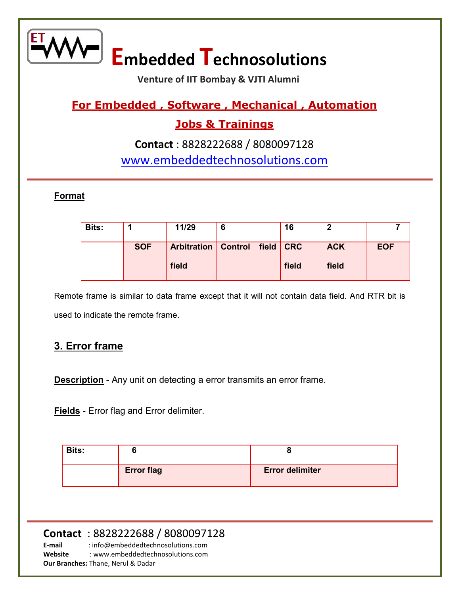

 **Venture of IIT Bombay & VJTI Alumni** 

#### **For Embedded , Software , Mechanical , Automation**

#### **Jobs & Trainings**

#### **Contact** : 8828222688 / 8080097128 [www.embeddedtechnosolutions.com](http://www.embeddedtechnosolutions.com/)

#### **Format**

| <b>Bits:</b> |            | 11/29                      | 6 |             | 16    | 0          |            |
|--------------|------------|----------------------------|---|-------------|-------|------------|------------|
|              | <b>SOF</b> | <b>Arbitration</b> Control |   | field   CRC |       | <b>ACK</b> | <b>EOF</b> |
|              |            | field                      |   |             | field | field      |            |

Remote frame is similar to data frame except that it will not contain data field. And RTR bit is used to indicate the remote frame.

#### **3. Error frame**

**Description** - Any unit on detecting a error transmits an error frame.

**Fields** - Error flag and Error delimiter.

| <b>Bits:</b> |                   |                        |
|--------------|-------------------|------------------------|
|              | <b>Error flag</b> | <b>Error delimiter</b> |

#### **Contact** : 8828222688 / 8080097128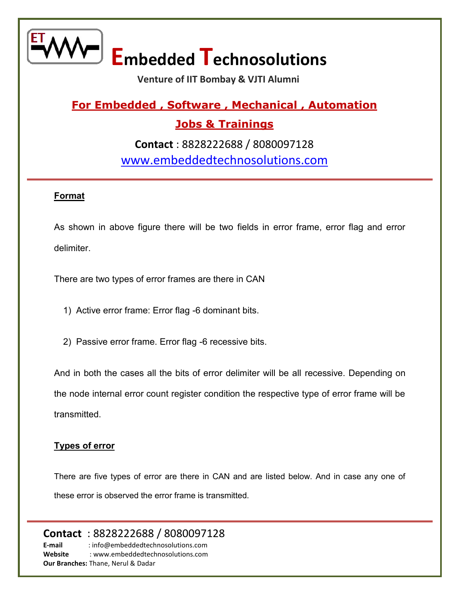

 **Venture of IIT Bombay & VJTI Alumni** 

### **For Embedded , Software , Mechanical , Automation**

#### **Jobs & Trainings**

**Contact** : 8828222688 / 8080097128 [www.embeddedtechnosolutions.com](http://www.embeddedtechnosolutions.com/) 

#### **Format**

As shown in above figure there will be two fields in error frame, error flag and error delimiter.

There are two types of error frames are there in CAN

1) Active error frame: Error flag -6 dominant bits.

2) Passive error frame. Error flag -6 recessive bits.

And in both the cases all the bits of error delimiter will be all recessive. Depending on the node internal error count register condition the respective type of error frame will be transmitted.

#### **Types of error**

There are five types of error are there in CAN and are listed below. And in case any one of these error is observed the error frame is transmitted.

**Contact** : 8828222688 / 8080097128 **E-mail** : info@embeddedtechnosolutions.com

**Website** : www.embeddedtechnosolutions.com **Our Branches:** Thane, Nerul & Dadar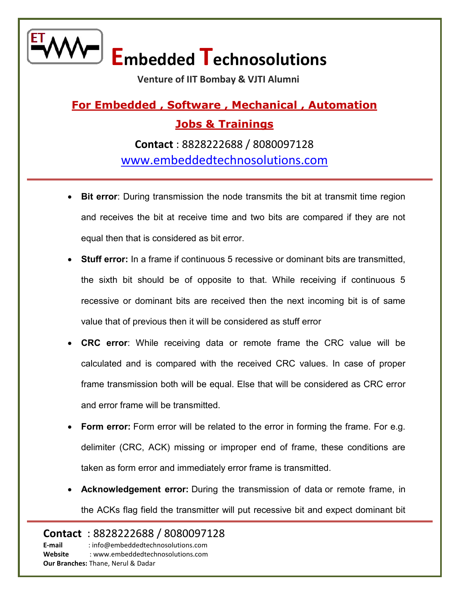

 **Venture of IIT Bombay & VJTI Alumni** 

### **For Embedded , Software , Mechanical , Automation Jobs & Trainings**

**Contact** : 8828222688 / 8080097128 [www.embeddedtechnosolutions.com](http://www.embeddedtechnosolutions.com/) 

- **Bit error**: During transmission the node transmits the bit at transmit time region and receives the bit at receive time and two bits are compared if they are not equal then that is considered as bit error.
- **Stuff error:** In a frame if continuous 5 recessive or dominant bits are transmitted, the sixth bit should be of opposite to that. While receiving if continuous 5 recessive or dominant bits are received then the next incoming bit is of same value that of previous then it will be considered as stuff error
- **CRC error**: While receiving data or remote frame the CRC value will be calculated and is compared with the received CRC values. In case of proper frame transmission both will be equal. Else that will be considered as CRC error and error frame will be transmitted.
- **Form error:** Form error will be related to the error in forming the frame. For e.g. delimiter (CRC, ACK) missing or improper end of frame, these conditions are taken as form error and immediately error frame is transmitted.
- **Acknowledgement error:** During the transmission of data or remote frame, in the ACKs flag field the transmitter will put recessive bit and expect dominant bit

**Contact** : 8828222688 / 8080097128 **E-mail** : info@embeddedtechnosolutions.com **Website** : www.embeddedtechnosolutions.com

**Our Branches:** Thane, Nerul & Dadar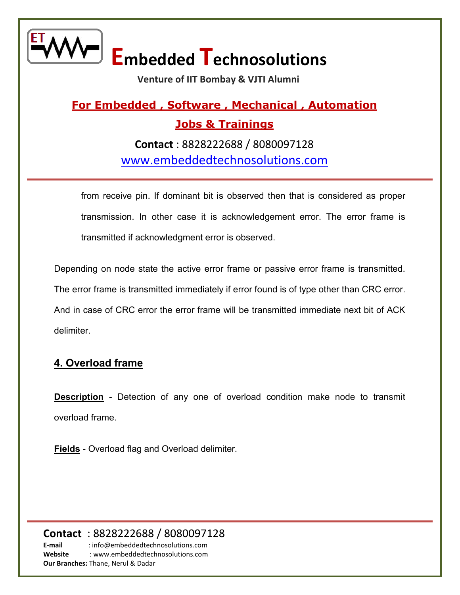

 **Venture of IIT Bombay & VJTI Alumni** 

### **For Embedded , Software , Mechanical , Automation Jobs & Trainings**

**Contact** : 8828222688 / 8080097128 [www.embeddedtechnosolutions.com](http://www.embeddedtechnosolutions.com/) 

from receive pin. If dominant bit is observed then that is considered as proper transmission. In other case it is acknowledgement error. The error frame is transmitted if acknowledgment error is observed.

Depending on node state the active error frame or passive error frame is transmitted. The error frame is transmitted immediately if error found is of type other than CRC error. And in case of CRC error the error frame will be transmitted immediate next bit of ACK delimiter.

#### **4. Overload frame**

**Description** - Detection of any one of overload condition make node to transmit overload frame.

**Fields** - Overload flag and Overload delimiter.

**Contact** : 8828222688 / 8080097128 **E-mail** : info@embeddedtechnosolutions.com

**Website** : www.embeddedtechnosolutions.com **Our Branches:** Thane, Nerul & Dadar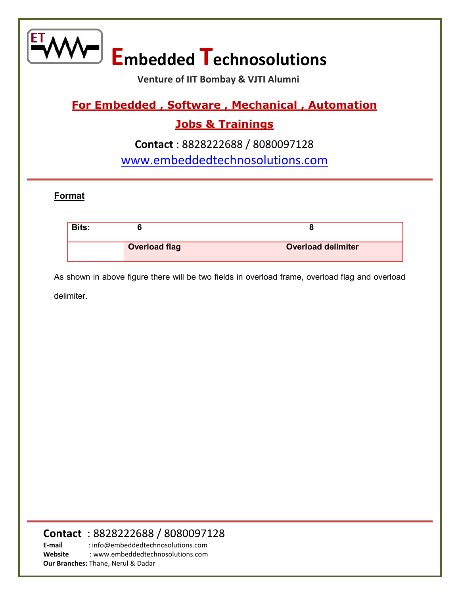

 **Venture of IIT Bombay & VJTI Alumni** 

#### **For Embedded , Software , Mechanical , Automation**

#### **Jobs & Trainings**

#### **Contact** : 8828222688 / 8080097128 [www.embeddedtechnosolutions.com](http://www.embeddedtechnosolutions.com/)

#### **Format**

| <b>Bits:</b> |                      |                           |
|--------------|----------------------|---------------------------|
|              | <b>Overload flag</b> | <b>Overload delimiter</b> |

As shown in above figure there will be two fields in overload frame, overload flag and overload delimiter.

#### **Contact** : 8828222688 / 8080097128